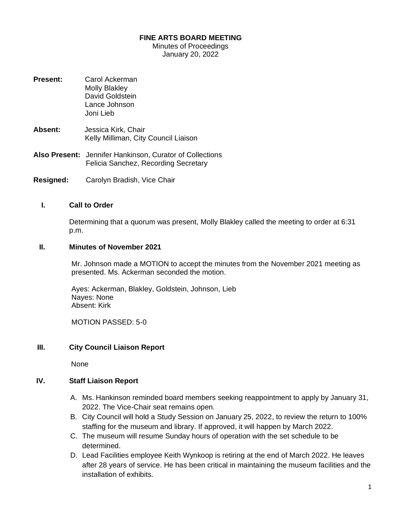### **FINE ARTS BOARD MEETING**

Minutes of Proceedings January 20, 2022

- **Present:** Carol Ackerman Molly Blakley David Goldstein Lance Johnson Joni Lieb
- **Absent:** Jessica Kirk, Chair Kelly Milliman, City Council Liaison
- **Also Present:** Jennifer Hankinson, Curator of Collections Felicia Sanchez, Recording Secretary
- **Resigned:** Carolyn Bradish, Vice Chair

### **I. Call to Order**

Determining that a quorum was present, Molly Blakley called the meeting to order at 6:31 p.m.

#### **II. Minutes of November 2021**

Mr. Johnson made a MOTION to accept the minutes from the November 2021 meeting as presented. Ms. Ackerman seconded the motion.

Ayes: Ackerman, Blakley, Goldstein, Johnson, Lieb Nayes: None Absent: Kirk

MOTION PASSED: 5-0

### **III. City Council Liaison Report**

None

#### **IV. Staff Liaison Report**

- A. Ms. Hankinson reminded board members seeking reappointment to apply by January 31, 2022. The Vice-Chair seat remains open.
- B. City Council will hold a Study Session on January 25, 2022, to review the return to 100% staffing for the museum and library. If approved, it will happen by March 2022.
- C. The museum will resume Sunday hours of operation with the set schedule to be determined.
- D. Lead Facilities employee Keith Wynkoop is retiring at the end of March 2022. He leaves after 28 years of service. He has been critical in maintaining the museum facilities and the installation of exhibits.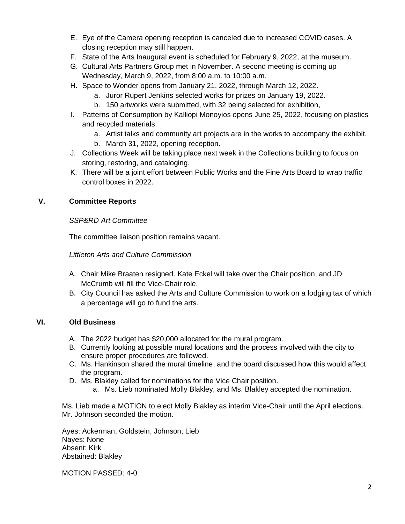- E. Eye of the Camera opening reception is canceled due to increased COVID cases. A closing reception may still happen.
- F. State of the Arts Inaugural event is scheduled for February 9, 2022, at the museum.
- G. Cultural Arts Partners Group met in November. A second meeting is coming up Wednesday, March 9, 2022, from 8:00 a.m. to 10:00 a.m.
- H. Space to Wonder opens from January 21, 2022, through March 12, 2022.
	- a. Juror Rupert Jenkins selected works for prizes on January 19, 2022.
	- b. 150 artworks were submitted, with 32 being selected for exhibition,
- I. Patterns of Consumption by Kalliopi Monoyios opens June 25, 2022, focusing on plastics and recycled materials.
	- a. Artist talks and community art projects are in the works to accompany the exhibit.
	- b. March 31, 2022, opening reception.
- J. Collections Week will be taking place next week in the Collections building to focus on storing, restoring, and cataloging.
- K. There will be a joint effort between Public Works and the Fine Arts Board to wrap traffic control boxes in 2022.

# **V. Committee Reports**

## *SSP&RD Art Committee*

The committee liaison position remains vacant.

## *Littleton Arts and Culture Commission*

- A. Chair Mike Braaten resigned. Kate Eckel will take over the Chair position, and JD McCrumb will fill the Vice-Chair role.
- B. City Council has asked the Arts and Culture Commission to work on a lodging tax of which a percentage will go to fund the arts.

# **VI. Old Business**

- A. The 2022 budget has \$20,000 allocated for the mural program.
- B. Currently looking at possible mural locations and the process involved with the city to ensure proper procedures are followed.
- C. Ms. Hankinson shared the mural timeline, and the board discussed how this would affect the program.
- D. Ms. Blakley called for nominations for the Vice Chair position.
	- a. Ms. Lieb nominated Molly Blakley, and Ms. Blakley accepted the nomination.

Ms. Lieb made a MOTION to elect Molly Blakley as interim Vice-Chair until the April elections. Mr. Johnson seconded the motion.

Ayes: Ackerman, Goldstein, Johnson, Lieb Nayes: None Absent: Kirk Abstained: Blakley

MOTION PASSED: 4-0